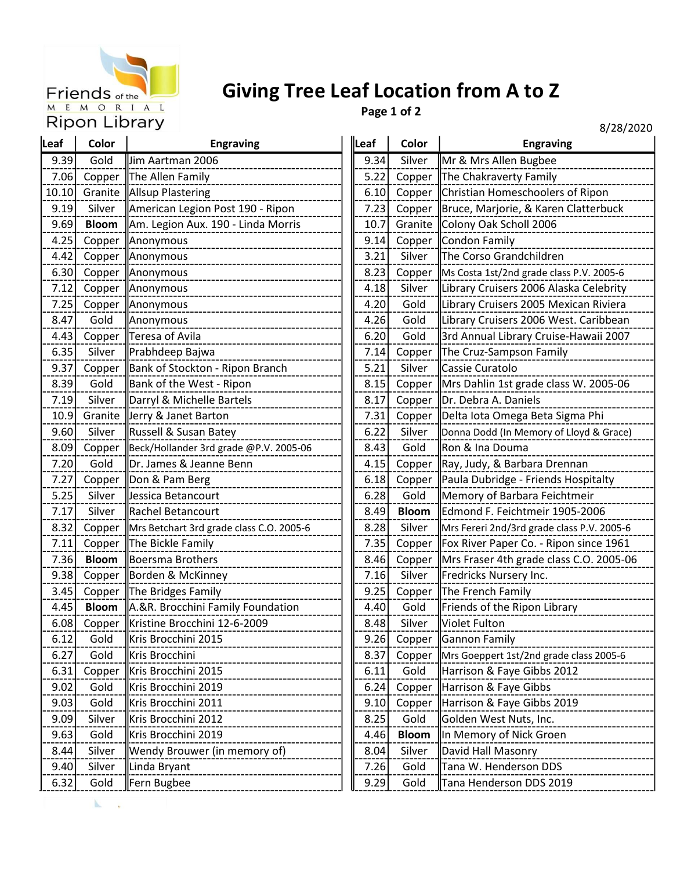

K

## Giving Tree Leaf Location from A to Z

Page 1 of 2

8/28/2020

|       |              |                                          |      |              | 07 LOJ 2                                   |
|-------|--------------|------------------------------------------|------|--------------|--------------------------------------------|
| Leaf  | Color        | <b>Engraving</b>                         | Leaf | Color        | <b>Engraving</b>                           |
| 9.39  | Gold         | Jim Aartman 2006                         | 9.34 | Silver       | Mr & Mrs Allen Bugbee                      |
| 7.06  | Copper       | The Allen Family                         | 5.22 | Copper       | The Chakraverty Family                     |
| 10.10 | Granite      | Allsup Plastering                        | 6.10 | Copper       | Christian Homeschoolers of Ripon           |
| 9.19  | Silver       | American Legion Post 190 - Ripon         | 7.23 | Copper       | Bruce, Marjorie, & Karen Clatterbuck       |
| 9.69  | <b>Bloom</b> | Am. Legion Aux. 190 - Linda Morris       | 10.7 | Granite      | Colony Oak Scholl 2006                     |
| 4.25  | Copper       | Anonymous                                | 9.14 | Copper       | Condon Family                              |
| 4.42  | Copper       | Anonymous                                | 3.21 | Silver       | The Corso Grandchildren                    |
| 6.30  | Copper       | Anonymous                                | 8.23 | Copper       | Ms Costa 1st/2nd grade class P.V. 2005-6   |
| 7.12  | Copper       | Anonymous                                | 4.18 | Silver       | Library Cruisers 2006 Alaska Celebrity     |
| 7.25  | Copper       | Anonymous                                | 4.20 | Gold         | Library Cruisers 2005 Mexican Riviera      |
| 8.47  | Gold         | Anonymous                                | 4.26 | Gold         | Library Cruisers 2006 West. Caribbean      |
| 4.43  | Copper       | Teresa of Avila                          | 6.20 | Gold         | 3rd Annual Library Cruise-Hawaii 2007      |
| 6.35  | Silver       | Prabhdeep Bajwa                          | 7.14 | Copper       | The Cruz-Sampson Family                    |
| 9.37  | Copper       | Bank of Stockton - Ripon Branch          | 5.21 | Silver       | Cassie Curatolo                            |
| 8.39  | Gold         | Bank of the West - Ripon                 | 8.15 | Copper       | Mrs Dahlin 1st grade class W. 2005-06      |
| 7.19  | Silver       | Darryl & Michelle Bartels                | 8.17 | Copper       | Dr. Debra A. Daniels                       |
| 10.9  | Granite      | Jerry & Janet Barton                     | 7.31 | Copper       | Delta lota Omega Beta Sigma Phi            |
| 9.60  | Silver       | Russell & Susan Batey                    | 6.22 | Silver       | Donna Dodd (In Memory of Lloyd & Grace)    |
| 8.09  | Copper       | Beck/Hollander 3rd grade @P.V. 2005-06   | 8.43 | Gold         | Ron & Ina Douma                            |
| 7.20  | Gold         | Dr. James & Jeanne Benn                  | 4.15 | Copper       | Ray, Judy, & Barbara Drennan               |
| 7.27  | Copper       | Don & Pam Berg                           | 6.18 | Copper       | Paula Dubridge - Friends Hospitalty        |
| 5.25  | Silver       | Jessica Betancourt                       | 6.28 | Gold         | Memory of Barbara Feichtmeir               |
| 7.17  | Silver       | <b>Rachel Betancourt</b>                 | 8.49 | <b>Bloom</b> | Edmond F. Feichtmeir 1905-2006             |
| 8.32  | Copper       | Mrs Betchart 3rd grade class C.O. 2005-6 | 8.28 | Silver       | Mrs Fereri 2nd/3rd grade class P.V. 2005-6 |
| 7.11  | Copper       | The Bickle Family                        | 7.35 | Copper       | Fox River Paper Co. - Ripon since 1961     |
| 7.36  | <b>Bloom</b> | Boersma Brothers                         | 8.46 | Copper       | Mrs Fraser 4th grade class C.O. 2005-0     |
| 9.38  | Copper       | Borden & McKinney                        | 7.16 | Silver       | Fredricks Nursery Inc.                     |
| 3.45  | Copper       | The Bridges Family                       | 9.25 | Copper       | The French Family                          |
| 4.45  | <b>Bloom</b> | A.&R. Brocchini Family Foundation        | 4.40 | Gold         | Friends of the Ripon Library               |
| 6.08  | Copper       | Kristine Brocchini 12-6-2009             | 8.48 | Silver       | Violet Fulton                              |
| 6.12  | Gold         | Kris Brocchini 2015                      | 9.26 | Copper       | Gannon Family                              |
| 6.27  | Gold         | Kris Brocchini                           | 8.37 | Copper       | Mrs Goeppert 1st/2nd grade class 2005-6    |
| 6.31  | Copper       | Kris Brocchini 2015                      | 6.11 | Gold         | Harrison & Faye Gibbs 2012                 |
| 9.02  | Gold         | Kris Brocchini 2019                      | 6.24 | Copper       | Harrison & Faye Gibbs                      |
| 9.03  | Gold         | Kris Brocchini 2011                      | 9.10 | Copper       | Harrison & Faye Gibbs 2019                 |
| 9.09  | Silver       | Kris Brocchini 2012                      | 8.25 | Gold         | Golden West Nuts, Inc.                     |
| 9.63  | Gold         | Kris Brocchini 2019                      | 4.46 | <b>Bloom</b> | In Memory of Nick Groen                    |
| 8.44  | Silver       | Wendy Brouwer (in memory of)             | 8.04 | Silver       | David Hall Masonry                         |
| 9.40  | Silver       | Linda Bryant                             | 7.26 | Gold         | Tana W. Henderson DDS                      |
| 6.32  | Gold         | Fern Bugbee                              | 9.29 | Gold         | Tana Henderson DDS 2019                    |
|       |              |                                          |      |              |                                            |

| af:  | Color        | <b>Engraving</b>                         | Leaf | Color        | ο/ Ζο/ ΖυΖυ<br><b>Engraving</b>            |
|------|--------------|------------------------------------------|------|--------------|--------------------------------------------|
| 9.39 | Gold         | Jim Aartman 2006                         | 9.34 | Silver       | Mr & Mrs Allen Bugbee                      |
| 7.06 | Copper       | The Allen Family                         | 5.22 | Copper       | The Chakraverty Family                     |
| 0.10 | Granite      | Allsup Plastering                        | 6.10 | Copper       | Christian Homeschoolers of Ripon           |
| 9.19 | Silver       | American Legion Post 190 - Ripon         | 7.23 | Copper       | Bruce, Marjorie, & Karen Clatterbuck       |
| 9.69 | <b>Bloom</b> | Am. Legion Aux. 190 - Linda Morris       | 10.7 | Granite      | Colony Oak Scholl 2006                     |
| 4.25 | Copper       | Anonymous                                | 9.14 | Copper       | Condon Family                              |
| 4.42 | Copper       | Anonymous                                | 3.21 | Silver       | The Corso Grandchildren                    |
| 6.30 | Copper       | Anonymous                                | 8.23 | Copper       | Ms Costa 1st/2nd grade class P.V. 2005-6   |
| 7.12 | Copper       | Anonymous                                | 4.18 | Silver       | Library Cruisers 2006 Alaska Celebrity     |
| 7.25 | Copper       | Anonymous                                | 4.20 | Gold         | Library Cruisers 2005 Mexican Riviera      |
| 8.47 | Gold         | Anonymous                                | 4.26 | Gold         | Library Cruisers 2006 West. Caribbean      |
| 4.43 | Copper       | Teresa of Avila                          | 6.20 | Gold         | 3rd Annual Library Cruise-Hawaii 2007      |
| 6.35 | Silver       | Prabhdeep Bajwa                          | 7.14 | Copper       | The Cruz-Sampson Family                    |
| 9.37 | Copper       | Bank of Stockton - Ripon Branch          | 5.21 | Silver       | <b>ll</b> Cassie Curatolo                  |
| 8.39 | Gold         | Bank of the West - Ripon                 | 8.15 | Copper       | Mrs Dahlin 1st grade class W. 2005-06      |
| 7.19 | Silver       | Darryl & Michelle Bartels                | 8.17 | Copper       | Dr. Debra A. Daniels                       |
| 10.9 | Granite      | Jerry & Janet Barton                     | 7.31 | Copper       | Delta lota Omega Beta Sigma Phi            |
| 9.60 | Silver       | Russell & Susan Batey                    | 6.22 | Silver       | Donna Dodd (In Memory of Lloyd & Grace)    |
| 8.09 | Copper       | Beck/Hollander 3rd grade @P.V. 2005-06   | 8.43 | Gold         | Ron & Ina Douma                            |
| 7.20 | Gold         | Dr. James & Jeanne Benn                  | 4.15 | Copper       | Ray, Judy, & Barbara Drennan               |
| 7.27 | Copper       | Don & Pam Berg                           | 6.18 | Copper       | Paula Dubridge - Friends Hospitalty        |
| 5.25 | Silver       | Jessica Betancourt                       | 6.28 | Gold         | Memory of Barbara Feichtmeir               |
| 7.17 | Silver       | Rachel Betancourt                        | 8.49 | <b>Bloom</b> | Edmond F. Feichtmeir 1905-2006             |
| 8.32 | Copper       | Mrs Betchart 3rd grade class C.O. 2005-6 | 8.28 | Silver       | Mrs Fereri 2nd/3rd grade class P.V. 2005-6 |
| 7.11 | Copper       | The Bickle Family                        | 7.35 | Copper       | Fox River Paper Co. - Ripon since 1961     |
| 7.36 | <b>Bloom</b> | Boersma Brothers                         | 8.46 | Copper       | Mrs Fraser 4th grade class C.O. 2005-06    |
| 9.38 | Copper       | Borden & McKinney                        | 7.16 | Silver       | Fredricks Nursery Inc.                     |
| 3.45 | Copper       | The Bridges Family                       | 9.25 | Copper       | The French Family                          |
| 4.45 | <b>Bloom</b> | A.&R. Brocchini Family Foundation        | 4.40 | Gold         | Friends of the Ripon Library               |
| 6.08 | Copper       | Kristine Brocchini 12-6-2009             | 8.48 | Silver       | Violet Fulton                              |
| 6.12 | Gold         | Kris Brocchini 2015                      | 9.26 | Copper       | Gannon Family                              |
| 6.27 | Gold         | Kris Brocchini                           | 8.37 | Copper       | Mrs Goeppert 1st/2nd grade class 2005-6    |
| 6.31 | Copper       | Kris Brocchini 2015                      | 6.11 | Gold         | Harrison & Faye Gibbs 2012                 |
| 9.02 | Gold         | Kris Brocchini 2019                      | 6.24 | Copper       | Harrison & Faye Gibbs                      |
| 9.03 | Gold         | Kris Brocchini 2011                      | 9.10 | Copper       | Harrison & Faye Gibbs 2019                 |
| 9.09 | Silver       | Kris Brocchini 2012                      | 8.25 | Gold         | Golden West Nuts, Inc.                     |
| 9.63 | Gold         | Kris Brocchini 2019                      | 4.46 | <b>Bloom</b> | ∥In Memory of Nick Groen                   |
| 8.44 | Silver       | Wendy Brouwer (in memory of)             | 8.04 | Silver       | David Hall Masonry                         |
| 9.40 | Silver       | Linda Bryant                             | 7.26 | Gold         | Tana W. Henderson DDS                      |
| 6.32 | Gold         | Fern Bugbee                              | 9.29 | Gold         | Tana Henderson DDS 2019                    |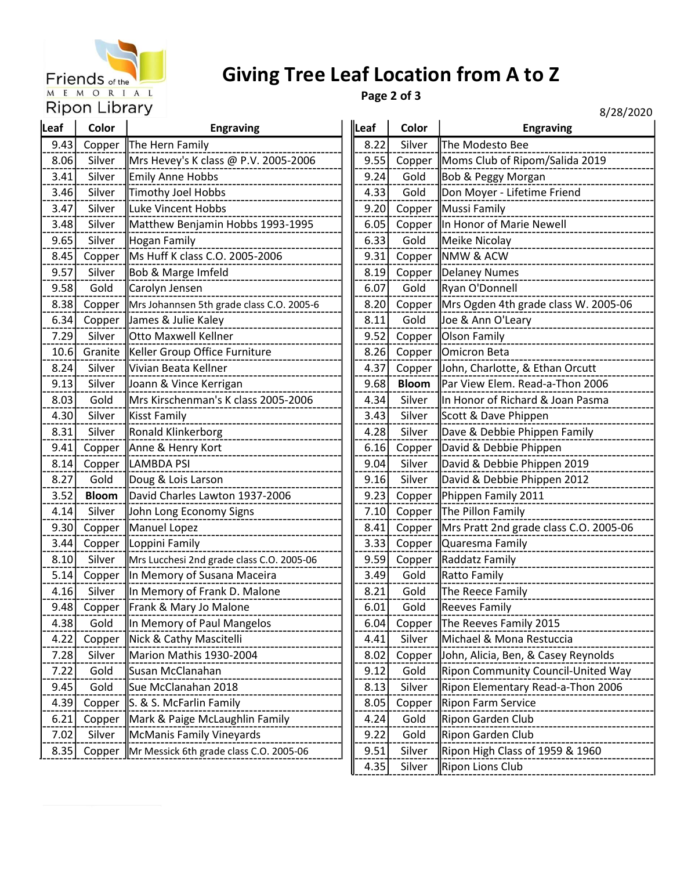

## Giving Tree Leaf Location from A to Z

Page 2 of 3

8/28/2020

|      |              |                                           |       |              | 0/ 20/ 2                               |
|------|--------------|-------------------------------------------|-------|--------------|----------------------------------------|
| Leaf | Color        | <b>Engraving</b>                          | Leaf  | Color        | <b>Engraving</b>                       |
| 9.43 | Copper       | The Hern Family                           | 8.22  | Silver       | The Modesto Bee                        |
| 8.06 | Silver       | Mrs Hevey's K class @ P.V. 2005-2006      | 9.55  | Copper       | Moms Club of Ripom/Salida 2019         |
| 3.41 | Silver       | Emily Anne Hobbs                          |       | Gold<br>9.24 | Bob & Peggy Morgan                     |
| 3.46 | Silver       | Timothy Joel Hobbs                        | 4.33  | Gold         | Don Moyer - Lifetime Friend            |
| 3.47 | Silver       | Luke Vincent Hobbs                        | 9.20  | Copper       | Mussi Family                           |
| 3.48 | Silver       | Matthew Benjamin Hobbs 1993-1995          | 6.05  | Copper       | In Honor of Marie Newell               |
| 9.65 | Silver       | Hogan Family                              | 6.33  | Gold         | Meike Nicolay                          |
| 8.45 | Copper       | Ms Huff K class C.O. 2005-2006            | 9.31  | Copper       | <b>NMW &amp; ACW</b>                   |
| 9.57 | Silver       | Bob & Marge Imfeld                        | 8.19  | Copper       | Delaney Numes                          |
| 9.58 | Gold         | Carolyn Jensen                            | 6.07  | Gold         | Ryan O'Donnell                         |
| 8.38 | Copper       | Mrs Johannsen 5th grade class C.O. 2005-6 | 8.20  | Copper       | Mrs Ogden 4th grade class W. 2005-06   |
| 6.34 | Copper       | James & Julie Kaley                       | 8.11  | Gold         | Joe & Ann O'Leary                      |
| 7.29 | Silver       | <b>Otto Maxwell Kellner</b>               | 9.52  | Copper       | <b>Olson Family</b>                    |
| 10.6 | Granite      | Keller Group Office Furniture             | 8.26  | Copper       | Omicron Beta                           |
| 8.24 | Silver       | Vivian Beata Kellner                      | 4.37  | Copper       | John, Charlotte, & Ethan Orcutt        |
| 9.13 | Silver       | Joann & Vince Kerrigan                    | 9.68  | <b>Bloom</b> | Par View Elem. Read-a-Thon 2006        |
| 8.03 | Gold         | Mrs Kirschenman's K class 2005-2006       | 4.34  | Silver       | In Honor of Richard & Joan Pasma       |
| 4.30 | Silver       | Kisst Family                              | 3.43  | Silver       | Scott & Dave Phippen                   |
| 8.31 | Silver       | Ronald Klinkerborg                        | 4.28  | Silver       | Dave & Debbie Phippen Family           |
| 9.41 | Copper       | Anne & Henry Kort                         | 6.16  |              | Copper  David & Debbie Phippen         |
| 8.14 | Copper       | LAMBDA PSI                                | 9.04  | Silver       | David & Debbie Phippen 2019            |
| 8.27 | Gold         | Doug & Lois Larson                        | 9.16  | Silver       | David & Debbie Phippen 2012            |
| 3.52 | <b>Bloom</b> | David Charles Lawton 1937-2006            | 9.23  | Copper       | Phippen Family 2011                    |
| 4.14 | Silver       | John Long Economy Signs                   | 7.10  | Copper       | The Pillon Family                      |
| 9.30 | Copper       | Manuel Lopez                              | 8.41  | Copper       | Mrs Pratt 2nd grade class C.O. 2005-06 |
| 3.44 | Copper       | Loppini Family                            | 3.33  | Copper       | Quaresma Family                        |
| 8.10 | Silver       | Mrs Lucchesi 2nd grade class C.O. 2005-06 | 9.59  |              | Copper   Raddatz Family                |
| 5.14 | Copper       | In Memory of Susana Maceira               | 3.49  | Gold         | Ratto Family                           |
| 4.16 | Silver       | In Memory of Frank D. Malone              | 8.21  | Gold         | The Reece Family                       |
| 9.48 | Copper       | Frank & Mary Jo Malone                    | 6.01  | Gold         | Reeves Family                          |
| 4.38 | Gold         | In Memory of Paul Mangelos                | 6.04  | Copper       | The Reeves Family 2015                 |
| 4.22 | Copper       | Nick & Cathy Mascitelli                   | 4.41  | Silver       | Michael & Mona Restuccia               |
| 7.28 | Silver       | Marion Mathis 1930-2004                   | 8.02  | Copper       | John, Alicia, Ben, & Casey Reynolds    |
| 7.22 | Gold         | Susan McClanahan                          | 9.12  | Gold         | Ripon Community Council-United Way     |
| 9.45 | Gold         | Sue McClanahan 2018                       | 8.13  | Silver       | Ripon Elementary Read-a-Thon 2006      |
| 4.39 | Copper       | S. & S. McFarlin Family                   | 8.05  | Copper       | Ripon Farm Service                     |
| 6.21 | Copper       | Mark & Paige McLaughlin Family            | 4.24  | Gold         | Ripon Garden Club                      |
| 7.02 | Silver       | McManis Family Vineyards                  | 9.22  | Gold         | Ripon Garden Club                      |
| 8.35 | Copper       | Mr Messick 6th grade class C.O. 2005-06   | 9.51  | Silver       | Ripon High Class of 1959 & 1960        |
|      |              |                                           | 4 R 5 | Silver       | <b>IRinon Lions Club</b>               |

| lLeaf | Color        | <b>Engraving</b>                       |  |
|-------|--------------|----------------------------------------|--|
| 8.22  | Silver       | The Modesto Bee                        |  |
| 9.55  | Copper       | Moms Club of Ripom/Salida 2019         |  |
| 9.24  | Gold         | Bob & Peggy Morgan                     |  |
| 4.33  | Gold         | Don Moyer - Lifetime Friend            |  |
| 9.20  | Copper       | Mussi Family                           |  |
| 6.05  | Copper       | In Honor of Marie Newell               |  |
| 6.33  | Gold         | Meike Nicolay                          |  |
| 9.31  | Copper       | NMW & ACW                              |  |
| 8.19  | Copper       | <b>Delaney Numes</b>                   |  |
| 6.07  | Gold         | Ryan O'Donnell                         |  |
| 8.20  | Copper       | Mrs Ogden 4th grade class W. 2005-06   |  |
| 8.11  | Gold         | Joe & Ann O'Leary                      |  |
| 9.52  | Copper       | <b>Olson Family</b>                    |  |
| 8.26  | Copper       | Omicron Beta                           |  |
| 4.37  | Copper       | John, Charlotte, & Ethan Orcutt        |  |
| 9.68  | <b>Bloom</b> | Par View Elem. Read-a-Thon 2006        |  |
| 4.34  | Silver       | In Honor of Richard & Joan Pasma       |  |
| 3.43  | Silver       | Scott & Dave Phippen                   |  |
| 4.28  | Silver       | Dave & Debbie Phippen Family           |  |
| 6.16  | Copper       | David & Debbie Phippen                 |  |
| 9.04  | Silver       | David & Debbie Phippen 2019            |  |
| 9.16  | Silver       | David & Debbie Phippen 2012            |  |
| 9.23  | Copper       | Phippen Family 2011                    |  |
| 7.10  | Copper       | The Pillon Family                      |  |
| 8.41  | Copper       | Mrs Pratt 2nd grade class C.O. 2005-06 |  |
| 3.33  | Copper       | Quaresma Family                        |  |
| 9.59  | Copper       | Raddatz Family                         |  |
| 3.49  | Gold         | Ratto Family                           |  |
| 8.21  | Gold         | The Reece Family                       |  |
| 6.01  | Gold         | Reeves Family                          |  |
| 6.04  | Copper       | The Reeves Family 2015                 |  |
| 4.41  | Silver       | Michael & Mona Restuccia               |  |
| 8.02  | Copper       | John, Alicia, Ben, & Casey Reynolds    |  |
| 9.12  | Gold         | Ripon Community Council-United Way     |  |
| 8.13  | Silver       | Ripon Elementary Read-a-Thon 2006      |  |
| 8.05  | Copper       | Ripon Farm Service                     |  |
| 4.24  | Gold         | Ripon Garden Club                      |  |
| 9.22  | Gold         | Ripon Garden Club                      |  |
| 9.51  | Silver       | Ripon High Class of 1959 & 1960        |  |
| 4.35  | Silver       | Ripon Lions Club                       |  |